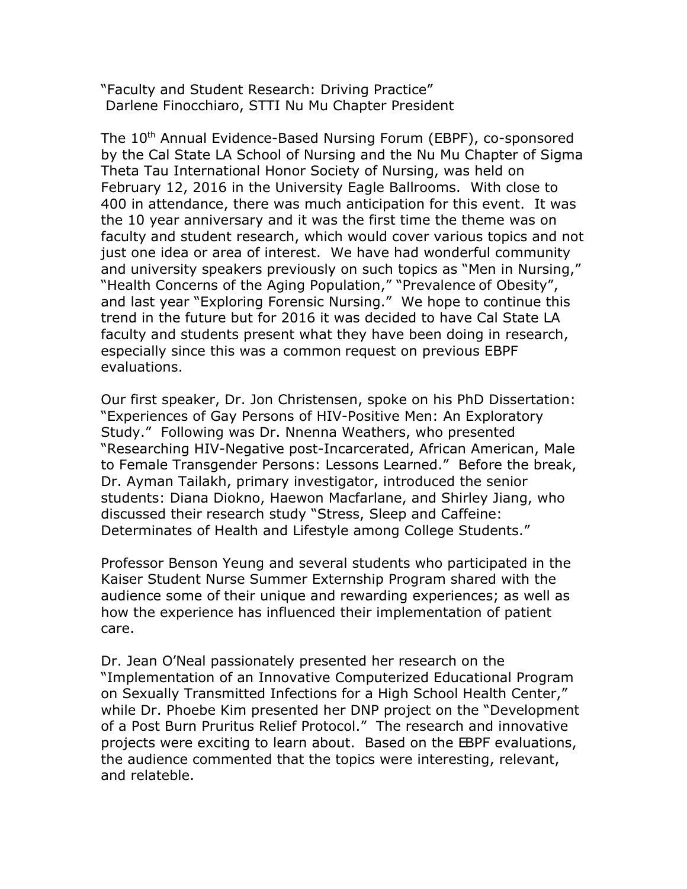"Faculty and Student Research: Driving Practice" Darlene Finocchiaro, STTI Nu Mu Chapter President

The 10<sup>th</sup> Annual Evidence-Based Nursing Forum (EBPF), co-sponsored by the Cal State LA School of Nursing and the Nu Mu Chapter of Sigma Theta Tau International Honor Society of Nursing, was held on February 12, 2016 in the University Eagle Ballrooms. With close to 400 in attendance, there was much anticipation for this event. It was the 10 year anniversary and it was the first time the theme was on faculty and student research, which would cover various topics and not just one idea or area of interest. We have had wonderful community and university speakers previously on such topics as "Men in Nursing," "Health Concerns of the Aging Population," "Prevalence of Obesity", and last year "Exploring Forensic Nursing." We hope to continue this trend in the future but for 2016 it was decided to have Cal State LA faculty and students present what they have been doing in research, especially since this was a common request on previous EBPF evaluations.

Our first speaker, Dr. Jon Christensen, spoke on his PhD Dissertation: "Experiences of Gay Persons of HIV-Positive Men: An Exploratory Study." Following was Dr. Nnenna Weathers, who presented "Researching HIV-Negative post-Incarcerated, African American, Male to Female Transgender Persons: Lessons Learned." Before the break, Dr. Ayman Tailakh, primary investigator, introduced the senior students: Diana Diokno, Haewon Macfarlane, and Shirley Jiang, who discussed their research study "Stress, Sleep and Caffeine: Determinates of Health and Lifestyle among College Students."

Professor Benson Yeung and several students who participated in the Kaiser Student Nurse Summer Externship Program shared with the audience some of their unique and rewarding experiences; as well as how the experience has influenced their implementation of patient care.

Dr. Jean O'Neal passionately presented her research on the "Implementation of an Innovative Computerized Educational Program on Sexually Transmitted Infections for a High School Health Center," while Dr. Phoebe Kim presented her DNP project on the "Development of a Post Burn Pruritus Relief Protocol." The research and innovative projects were exciting to learn about. Based on the EBPF evaluations, the audience commented that the topics were interesting, relevant, and relateble.